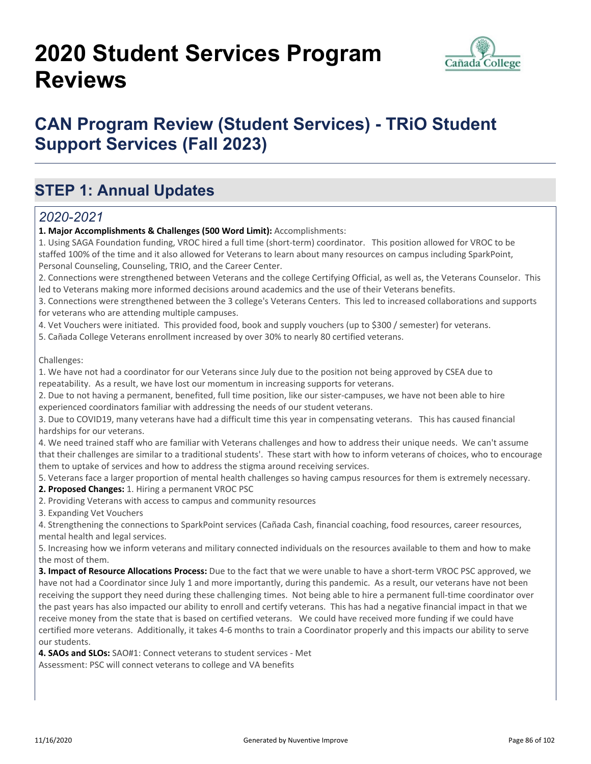# **2020 Student Services Program Reviews**



## **CAN Program Review (Student Services) - TRiO Student Support Services (Fall 2023)**

## **STEP 1: Annual Updates**

#### *2020-2021*

**1. Major Accomplishments & Challenges (500 Word Limit):** Accomplishments:

1. Using SAGA Foundation funding, VROC hired a full time (short-term) coordinator. This position allowed for VROC to be staffed 100% of the time and it also allowed for Veterans to learn about many resources on campus including SparkPoint, Personal Counseling, Counseling, TRIO, and the Career Center.

2. Connections were strengthened between Veterans and the college Certifying Official, as well as, the Veterans Counselor. This led to Veterans making more informed decisions around academics and the use of their Veterans benefits.

3. Connections were strengthened between the 3 college's Veterans Centers. This led to increased collaborations and supports for veterans who are attending multiple campuses.

4. Vet Vouchers were initiated. This provided food, book and supply vouchers (up to \$300 / semester) for veterans.

5. Cañada College Veterans enrollment increased by over 30% to nearly 80 certified veterans.

Challenges:

1. We have not had a coordinator for our Veterans since July due to the position not being approved by CSEA due to repeatability. As a result, we have lost our momentum in increasing supports for veterans.

2. Due to not having a permanent, benefited, full time position, like our sister-campuses, we have not been able to hire experienced coordinators familiar with addressing the needs of our student veterans.

3. Due to COVID19, many veterans have had a difficult time this year in compensating veterans. This has caused financial hardships for our veterans.

4. We need trained staff who are familiar with Veterans challenges and how to address their unique needs. We can't assume that their challenges are similar to a traditional students'. These start with how to inform veterans of choices, who to encourage them to uptake of services and how to address the stigma around receiving services.

5. Veterans face a larger proportion of mental health challenges so having campus resources for them is extremely necessary.

**2. Proposed Changes:** 1. Hiring a permanent VROC PSC

2. Providing Veterans with access to campus and community resources

3. Expanding Vet Vouchers

4. Strengthening the connections to SparkPoint services (Cañada Cash, financial coaching, food resources, career resources, mental health and legal services.

5. Increasing how we inform veterans and military connected individuals on the resources available to them and how to make the most of them.

**3. Impact of Resource Allocations Process:** Due to the fact that we were unable to have a short-term VROC PSC approved, we have not had a Coordinator since July 1 and more importantly, during this pandemic. As a result, our veterans have not been receiving the support they need during these challenging times. Not being able to hire a permanent full-time coordinator over the past years has also impacted our ability to enroll and certify veterans. This has had a negative financial impact in that we receive money from the state that is based on certified veterans. We could have received more funding if we could have certified more veterans. Additionally, it takes 4-6 months to train a Coordinator properly and this impacts our ability to serve our students.

**4. SAOs and SLOs:** SAO#1: Connect veterans to student services - Met Assessment: PSC will connect veterans to college and VA benefits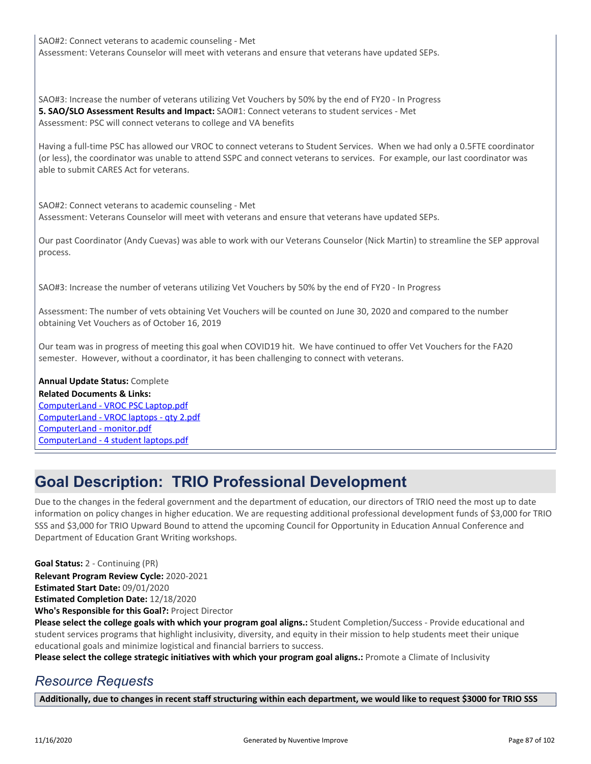SAO#2: Connect veterans to academic counseling - Met Assessment: Veterans Counselor will meet with veterans and ensure that veterans have updated SEPs.

SAO#3: Increase the number of veterans utilizing Vet Vouchers by 50% by the end of FY20 - In Progress **5. SAO/SLO Assessment Results and Impact:** SAO#1: Connect veterans to student services - Met Assessment: PSC will connect veterans to college and VA benefits

Having a full-time PSC has allowed our VROC to connect veterans to Student Services. When we had only a 0.5FTE coordinator (or less), the coordinator was unable to attend SSPC and connect veterans to services. For example, our last coordinator was able to submit CARES Act for veterans.

SAO#2: Connect veterans to academic counseling - Met Assessment: Veterans Counselor will meet with veterans and ensure that veterans have updated SEPs.

Our past Coordinator (Andy Cuevas) was able to work with our Veterans Counselor (Nick Martin) to streamline the SEP approval process.

SAO#3: Increase the number of veterans utilizing Vet Vouchers by 50% by the end of FY20 - In Progress

Assessment: The number of vets obtaining Vet Vouchers will be counted on June 30, 2020 and compared to the number obtaining Vet Vouchers as of October 16, 2019

Our team was in progress of meeting this goal when COVID19 hit. We have continued to offer Vet Vouchers for the FA20 semester. However, without a coordinator, it has been challenging to connect with veterans.

#### **Annual Update Status:** Complete

**Related Documents & Links:** [ComputerLand - VROC PSC Laptop.pdf](https://sanmateo.improve.nuventive.com:443/tracdat/viewDocument?y=qyTcrsprjaU1) [ComputerLand - VROC laptops - qty 2.pdf](https://sanmateo.improve.nuventive.com:443/tracdat/viewDocument?y=KCHUZQerD86S) [ComputerLand - monitor.pdf](https://sanmateo.improve.nuventive.com:443/tracdat/viewDocument?y=e8lf3kXNvwpP) [ComputerLand - 4 student laptops.pdf](https://sanmateo.improve.nuventive.com:443/tracdat/viewDocument?y=hv2jsQdPZuKJ)

### **Goal Description: TRIO Professional Development**

Due to the changes in the federal government and the department of education, our directors of TRIO need the most up to date information on policy changes in higher education. We are requesting additional professional development funds of \$3,000 for TRIO SSS and \$3,000 for TRIO Upward Bound to attend the upcoming Council for Opportunity in Education Annual Conference and Department of Education Grant Writing workshops.

**Goal Status:** 2 - Continuing (PR)

**Relevant Program Review Cycle:** 2020-2021

**Estimated Start Date:** 09/01/2020

**Estimated Completion Date:** 12/18/2020

**Who's Responsible for this Goal?:** Project Director

**Please select the college goals with which your program goal aligns.:** Student Completion/Success - Provide educational and student services programs that highlight inclusivity, diversity, and equity in their mission to help students meet their unique educational goals and minimize logistical and financial barriers to success.

**Please select the college strategic initiatives with which your program goal aligns.:** Promote a Climate of Inclusivity

#### *Resource Requests*

**Additionally, due to changes in recent staff structuring within each department, we would like to request \$3000 for TRIO SSS**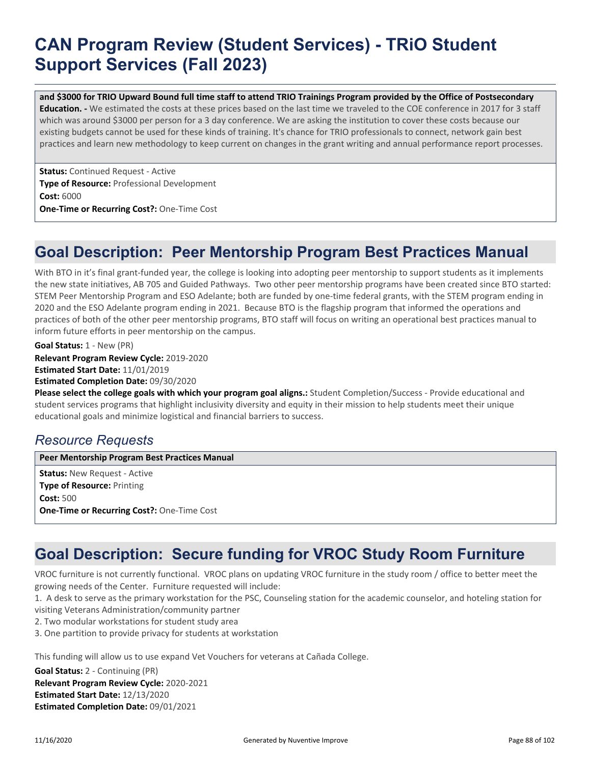# **CAN Program Review (Student Services) - TRiO Student Support Services (Fall 2023)**

**and \$3000 for TRIO Upward Bound full time staff to attend TRIO Trainings Program provided by the Office of Postsecondary Education. -** We estimated the costs at these prices based on the last time we traveled to the COE conference in 2017 for 3 staff which was around \$3000 per person for a 3 day conference. We are asking the institution to cover these costs because our existing budgets cannot be used for these kinds of training. It's chance for TRIO professionals to connect, network gain best practices and learn new methodology to keep current on changes in the grant writing and annual performance report processes.

**Status:** Continued Request - Active **Type of Resource:** Professional Development **Cost:** 6000 **One-Time or Recurring Cost?:** One-Time Cost

### **Goal Description: Peer Mentorship Program Best Practices Manual**

With BTO in it's final grant-funded year, the college is looking into adopting peer mentorship to support students as it implements the new state initiatives, AB 705 and Guided Pathways. Two other peer mentorship programs have been created since BTO started: STEM Peer Mentorship Program and ESO Adelante; both are funded by one-time federal grants, with the STEM program ending in 2020 and the ESO Adelante program ending in 2021. Because BTO is the flagship program that informed the operations and practices of both of the other peer mentorship programs, BTO staff will focus on writing an operational best practices manual to inform future efforts in peer mentorship on the campus.

**Relevant Program Review Cycle:** 2019-2020 **Estimated Start Date:** 11/01/2019 **Estimated Completion Date:** 09/30/2020 **Goal Status:** 1 - New (PR)

**Please select the college goals with which your program goal aligns.:** Student Completion/Success - Provide educational and student services programs that highlight inclusivity diversity and equity in their mission to help students meet their unique educational goals and minimize logistical and financial barriers to success.

### *Resource Requests*

**Peer Mentorship Program Best Practices Manual**

**Status:** New Request - Active **Type of Resource:** Printing **Cost:** 500 **One-Time or Recurring Cost?:** One-Time Cost

## **Goal Description: Secure funding for VROC Study Room Furniture**

VROC furniture is not currently functional. VROC plans on updating VROC furniture in the study room / office to better meet the growing needs of the Center. Furniture requested will include:

1. A desk to serve as the primary workstation for the PSC, Counseling station for the academic counselor, and hoteling station for visiting Veterans Administration/community partner

2. Two modular workstations for student study area

3. One partition to provide privacy for students at workstation

This funding will allow us to use expand Vet Vouchers for veterans at Cañada College.

**Relevant Program Review Cycle:** 2020-2021 **Estimated Start Date:** 12/13/2020 **Estimated Completion Date:** 09/01/2021 **Goal Status:** 2 - Continuing (PR)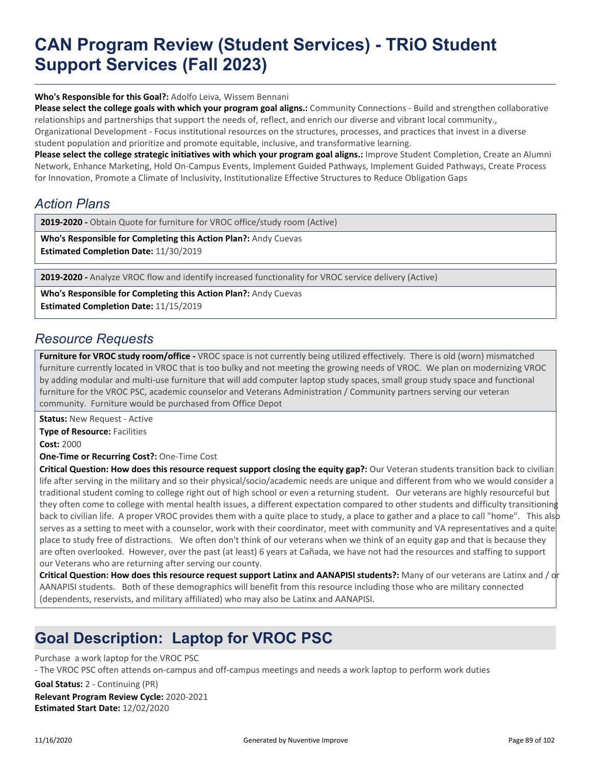# **CAN Program Review (Student Services) - TRiO Student Support Services (Fall 2023)**

**Who's Responsible for this Goal?:** Adolfo Leiva, Wissem Bennani

**Please select the college goals with which your program goal aligns.:** Community Connections - Build and strengthen collaborative relationships and partnerships that support the needs of, reflect, and enrich our diverse and vibrant local community.,

Organizational Development - Focus institutional resources on the structures, processes, and practices that invest in a diverse student population and prioritize and promote equitable, inclusive, and transformative learning.

Please select the college strategic initiatives with which your program goal aligns.: Improve Student Completion, Create an Alumni Network, Enhance Marketing, Hold On-Campus Events, Implement Guided Pathways, Implement Guided Pathways, Create Process for Innovation, Promote a Climate of Inclusivity, Institutionalize Effective Structures to Reduce Obligation Gaps

### *Action Plans*

**2019-2020 -** Obtain Quote for furniture for VROC office/study room (Active)

**Who's Responsible for Completing this Action Plan?:** Andy Cuevas **Estimated Completion Date:** 11/30/2019

**2019-2020 -** Analyze VROC flow and identify increased functionality for VROC service delivery (Active)

**Who's Responsible for Completing this Action Plan?:** Andy Cuevas **Estimated Completion Date:** 11/15/2019

#### *Resource Requests*

**Furniture for VROC study room/office -** VROC space is not currently being utilized effectively. There is old (worn) mismatched furniture currently located in VROC that is too bulky and not meeting the growing needs of VROC. We plan on modernizing VROC by adding modular and multi-use furniture that will add computer laptop study spaces, small group study space and functional furniture for the VROC PSC, academic counselor and Veterans Administration / Community partners serving our veteran community. Furniture would be purchased from Office Depot

**Status:** New Request - Active **Type of Resource:** Facilities **Cost:** 2000

**One-Time or Recurring Cost?:** One-Time Cost

**Critical Question: How does this resource request support closing the equity gap?:** Our Veteran students transition back to civilian life after serving in the military and so their physical/socio/academic needs are unique and different from who we would consider a traditional student coming to college right out of high school or even a returning student. Our veterans are highly resourceful but they often come to college with mental health issues, a different expectation compared to other students and difficulty transitioning back to civilian life. A proper VROC provides them with a quite place to study, a place to gather and a place to call "home". This also serves as a setting to meet with a counselor, work with their coordinator, meet with community and VA representatives and a quite place to study free of distractions. We often don't think of our veterans when we think of an equity gap and that is because they are often overlooked. However, over the past (at least) 6 years at Cañada, we have not had the resources and staffing to support our Veterans who are returning after serving our county.

**Critical Question: How does this resource request support Latinx and AANAPISI students?:** Many of our veterans are Latinx and / or AANAPISI students. Both of these demographics will benefit from this resource including those who are military connected (dependents, reservists, and military affiliated) who may also be Latinx and AANAPISI.

## **Goal Description: Laptop for VROC PSC**

Purchase a work laptop for the VROC PSC

- The VROC PSC often attends on-campus and off-campus meetings and needs a work laptop to perform work duties

**Relevant Program Review Cycle:** 2020-2021 **Estimated Start Date:** 12/02/2020 **Goal Status:** 2 - Continuing (PR)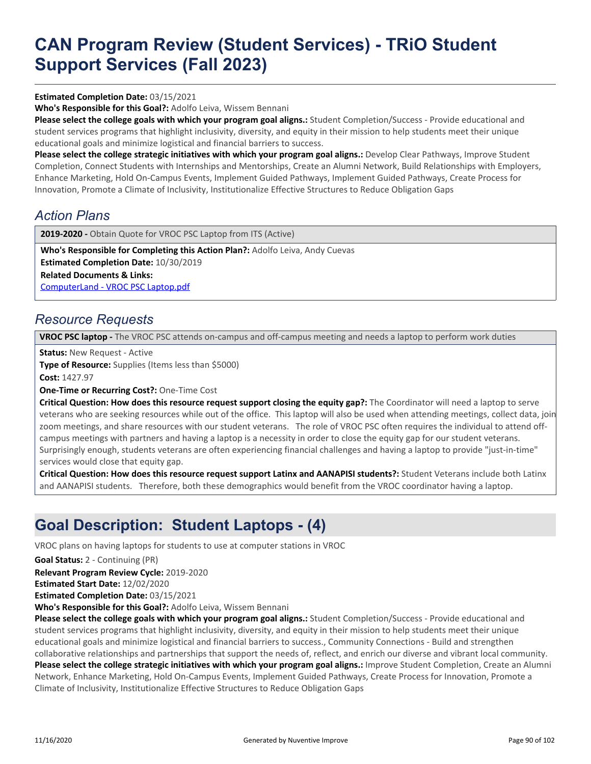# **CAN Program Review (Student Services) - TRiO Student Support Services (Fall 2023)**

#### **Estimated Completion Date:** 03/15/2021

**Who's Responsible for this Goal?:** Adolfo Leiva, Wissem Bennani

**Please select the college goals with which your program goal aligns.:** Student Completion/Success - Provide educational and student services programs that highlight inclusivity, diversity, and equity in their mission to help students meet their unique educational goals and minimize logistical and financial barriers to success.

Please select the college strategic initiatives with which your program goal aligns.: Develop Clear Pathways, Improve Student Completion, Connect Students with Internships and Mentorships, Create an Alumni Network, Build Relationships with Employers, Enhance Marketing, Hold On-Campus Events, Implement Guided Pathways, Implement Guided Pathways, Create Process for Innovation, Promote a Climate of Inclusivity, Institutionalize Effective Structures to Reduce Obligation Gaps

#### *Action Plans*

2019-2020 - Obtain Quote for VROC PSC Laptop from ITS (Active)

**Who's Responsible for Completing this Action Plan?:** Adolfo Leiva, Andy Cuevas **Estimated Completion Date:** 10/30/2019

**Related Documents & Links:**

[ComputerLand - VROC PSC Laptop.pdf](https://sanmateo.improve.nuventive.com:443/tracdat/viewDocument?y=qyTcrsprjaU1)

#### *Resource Requests*

**VROC PSC laptop -** The VROC PSC attends on-campus and off-campus meeting and needs a laptop to perform work duties

**Status:** New Request - Active

**Type of Resource:** Supplies (Items less than \$5000) **Cost:** 1427.97

**One-Time or Recurring Cost?:** One-Time Cost

**Critical Question: How does this resource request support closing the equity gap?:** The Coordinator will need a laptop to serve veterans who are seeking resources while out of the office. This laptop will also be used when attending meetings, collect data, join zoom meetings, and share resources with our student veterans. The role of VROC PSC often requires the individual to attend offcampus meetings with partners and having a laptop is a necessity in order to close the equity gap for our student veterans. Surprisingly enough, students veterans are often experiencing financial challenges and having a laptop to provide "just-in-time" services would close that equity gap.

**Critical Question: How does this resource request support Latinx and AANAPISI students?:** Student Veterans include both Latinx and AANAPISI students. Therefore, both these demographics would benefit from the VROC coordinator having a laptop.

## **Goal Description: Student Laptops - (4)**

VROC plans on having laptops for students to use at computer stations in VROC

**Goal Status:** 2 - Continuing (PR)

**Relevant Program Review Cycle:** 2019-2020

**Estimated Start Date:** 12/02/2020

**Estimated Completion Date:** 03/15/2021

**Who's Responsible for this Goal?:** Adolfo Leiva, Wissem Bennani

**Please select the college goals with which your program goal aligns.:** Student Completion/Success - Provide educational and student services programs that highlight inclusivity, diversity, and equity in their mission to help students meet their unique educational goals and minimize logistical and financial barriers to success., Community Connections - Build and strengthen collaborative relationships and partnerships that support the needs of, reflect, and enrich our diverse and vibrant local community. Please select the college strategic initiatives with which your program goal aligns.: Improve Student Completion, Create an Alumni Network, Enhance Marketing, Hold On-Campus Events, Implement Guided Pathways, Create Process for Innovation, Promote a Climate of Inclusivity, Institutionalize Effective Structures to Reduce Obligation Gaps